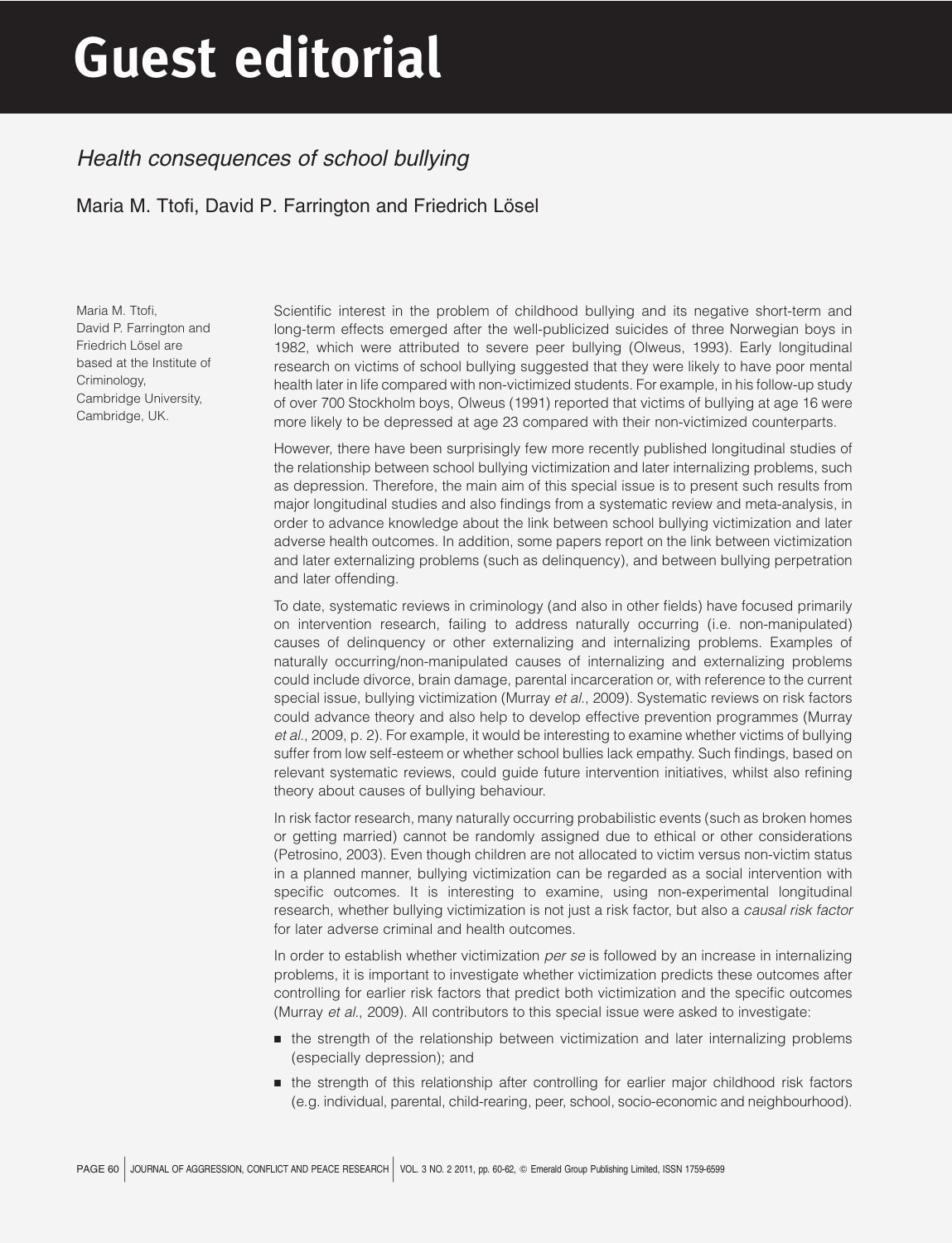## Guest editorial

## Health consequences of school bullying

## Maria M. Ttofi, David P. Farrington and Friedrich Lösel

Maria M. Ttofi, David P. Farrington and Friedrich Lösel are based at the Institute of Criminology, Cambridge University, Cambridge, UK.

Scientific interest in the problem of childhood bullying and its negative short-term and long-term effects emerged after the well-publicized suicides of three Norwegian boys in 1982, which were attributed to severe peer bullying (Olweus, 1993). Early longitudinal research on victims of school bullying suggested that they were likely to have poor mental health later in life compared with non-victimized students. For example, in his follow-up study of over 700 Stockholm boys, Olweus (1991) reported that victims of bullying at age 16 were more likely to be depressed at age 23 compared with their non-victimized counterparts.

However, there have been surprisingly few more recently published longitudinal studies of the relationship between school bullying victimization and later internalizing problems, such as depression. Therefore, the main aim of this special issue is to present such results from major longitudinal studies and also findings from a systematic review and meta-analysis, in order to advance knowledge about the link between school bullying victimization and later adverse health outcomes. In addition, some papers report on the link between victimization and later externalizing problems (such as delinquency), and between bullying perpetration and later offending.

To date, systematic reviews in criminology (and also in other fields) have focused primarily on intervention research, failing to address naturally occurring (i.e. non-manipulated) causes of delinquency or other externalizing and internalizing problems. Examples of naturally occurring/non-manipulated causes of internalizing and externalizing problems could include divorce, brain damage, parental incarceration or, with reference to the current special issue, bullying victimization (Murray et al., 2009). Systematic reviews on risk factors could advance theory and also help to develop effective prevention programmes (Murray et al., 2009, p. 2). For example, it would be interesting to examine whether victims of bullying suffer from low self-esteem or whether school bullies lack empathy. Such findings, based on relevant systematic reviews, could guide future intervention initiatives, whilst also refining theory about causes of bullying behaviour.

In risk factor research, many naturally occurring probabilistic events (such as broken homes or getting married) cannot be randomly assigned due to ethical or other considerations (Petrosino, 2003). Even though children are not allocated to victim versus non-victim status in a planned manner, bullying victimization can be regarded as a social intervention with specific outcomes. It is interesting to examine, using non-experimental longitudinal research, whether bullying victimization is not just a risk factor, but also a causal risk factor for later adverse criminal and health outcomes.

In order to establish whether victimization per se is followed by an increase in internalizing problems, it is important to investigate whether victimization predicts these outcomes after controlling for earlier risk factors that predict both victimization and the specific outcomes (Murray et al., 2009). All contributors to this special issue were asked to investigate:

- **B** the strength of the relationship between victimization and later internalizing problems (especially depression); and
- **In** the strength of this relationship after controlling for earlier major childhood risk factors (e.g. individual, parental, child-rearing, peer, school, socio-economic and neighbourhood).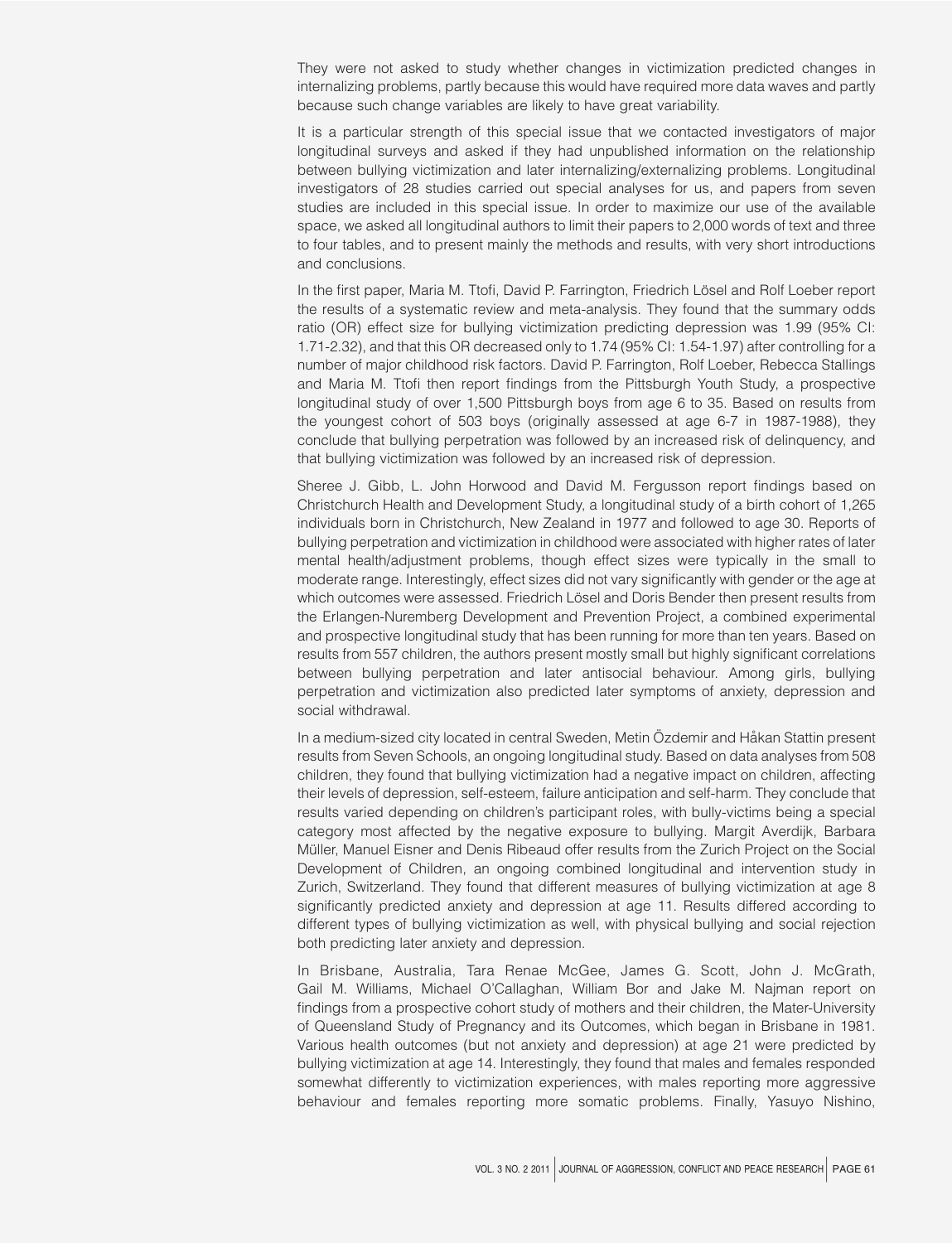They were not asked to study whether changes in victimization predicted changes in internalizing problems, partly because this would have required more data waves and partly because such change variables are likely to have great variability.

It is a particular strength of this special issue that we contacted investigators of major longitudinal surveys and asked if they had unpublished information on the relationship between bullying victimization and later internalizing/externalizing problems. Longitudinal investigators of 28 studies carried out special analyses for us, and papers from seven studies are included in this special issue. In order to maximize our use of the available space, we asked all longitudinal authors to limit their papers to 2,000 words of text and three to four tables, and to present mainly the methods and results, with very short introductions and conclusions.

In the first paper, Maria M. Ttofi, David P. Farrington, Friedrich Lösel and Rolf Loeber report the results of a systematic review and meta-analysis. They found that the summary odds ratio (OR) effect size for bullying victimization predicting depression was 1.99 (95% CI: 1.71-2.32), and that this OR decreased only to 1.74 (95% CI: 1.54-1.97) after controlling for a number of major childhood risk factors. David P. Farrington, Rolf Loeber, Rebecca Stallings and Maria M. Ttofi then report findings from the Pittsburgh Youth Study, a prospective longitudinal study of over 1,500 Pittsburgh boys from age 6 to 35. Based on results from the youngest cohort of 503 boys (originally assessed at age 6-7 in 1987-1988), they conclude that bullying perpetration was followed by an increased risk of delinquency, and that bullying victimization was followed by an increased risk of depression.

Sheree J. Gibb, L. John Horwood and David M. Fergusson report findings based on Christchurch Health and Development Study, a longitudinal study of a birth cohort of 1,265 individuals born in Christchurch, New Zealand in 1977 and followed to age 30. Reports of bullying perpetration and victimization in childhood were associated with higher rates of later mental health/adjustment problems, though effect sizes were typically in the small to moderate range. Interestingly, effect sizes did not vary significantly with gender or the age at which outcomes were assessed. Friedrich Lösel and Doris Bender then present results from the Erlangen-Nuremberg Development and Prevention Project, a combined experimental and prospective longitudinal study that has been running for more than ten years. Based on results from 557 children, the authors present mostly small but highly significant correlations between bullying perpetration and later antisocial behaviour. Among girls, bullying perpetration and victimization also predicted later symptoms of anxiety, depression and social withdrawal.

In a medium-sized city located in central Sweden, Metin Özdemir and Håkan Stattin present results from Seven Schools, an ongoing longitudinal study. Based on data analyses from 508 children, they found that bullying victimization had a negative impact on children, affecting their levels of depression, self-esteem, failure anticipation and self-harm. They conclude that results varied depending on children's participant roles, with bully-victims being a special category most affected by the negative exposure to bullying. Margit Averdijk, Barbara Müller, Manuel Eisner and Denis Ribeaud offer results from the Zurich Project on the Social Development of Children, an ongoing combined longitudinal and intervention study in Zurich, Switzerland. They found that different measures of bullying victimization at age 8 significantly predicted anxiety and depression at age 11. Results differed according to different types of bullying victimization as well, with physical bullying and social rejection both predicting later anxiety and depression.

In Brisbane, Australia, Tara Renae McGee, James G. Scott, John J. McGrath, Gail M. Williams, Michael O'Callaghan, William Bor and Jake M. Najman report on findings from a prospective cohort study of mothers and their children, the Mater-University of Queensland Study of Pregnancy and its Outcomes, which began in Brisbane in 1981. Various health outcomes (but not anxiety and depression) at age 21 were predicted by bullying victimization at age 14. Interestingly, they found that males and females responded somewhat differently to victimization experiences, with males reporting more aggressive behaviour and females reporting more somatic problems. Finally, Yasuyo Nishino,